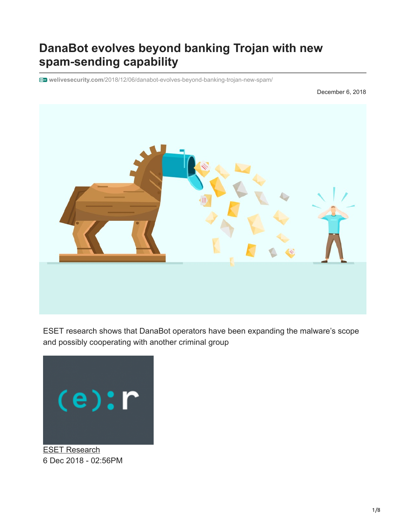# **DanaBot evolves beyond banking Trojan with new spam**‑**sending capability**

**welivesecurity.com**[/2018/12/06/danabot-evolves-beyond-banking-trojan-new-spam/](https://www.welivesecurity.com/2018/12/06/danabot-evolves-beyond-banking-trojan-new-spam/)

December 6, 2018



ESET research shows that DanaBot operators have been expanding the malware's scope and possibly cooperating with another criminal group



[ESET Research](https://www.welivesecurity.com/author/esetresearch/) 6 Dec 2018 - 02:56PM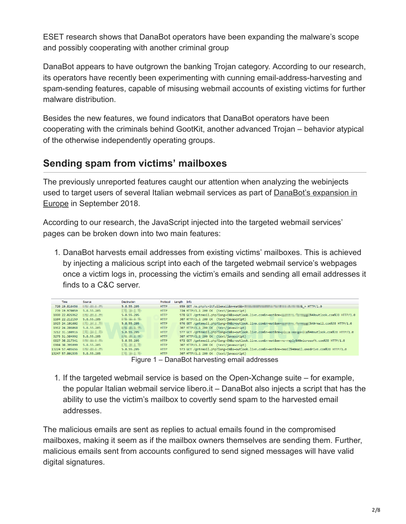ESET research shows that DanaBot operators have been expanding the malware's scope and possibly cooperating with another criminal group

DanaBot appears to have outgrown the banking Trojan category. According to our research, its operators have recently been experimenting with cunning email-address-harvesting and spam-sending features, capable of misusing webmail accounts of existing victims for further malware distribution.

Besides the new features, we found indicators that DanaBot operators have been cooperating with the criminals behind GootKit, another advanced Trojan – behavior atypical of the otherwise independently operating groups.

## **Sending spam from victims' mailboxes**

The previously unreported features caught our attention when analyzing the webinjects [used to target users of several Italian webmail services as part of DanaBot's expansion in](https://www.welivesecurity.com/2018/09/21/danabot-targeting-europe-adds-new-features/) Europe in September 2018.

According to our research, the JavaScript injected into the targeted webmail services' pages can be broken down into two main features:

1. DanaBot harvests email addresses from existing victims' mailboxes. This is achieved by injecting a malicious script into each of the targeted webmail service's webpages once a victim logs in, processing the victim's emails and sending all email addresses it finds to a C&C server.

| <b>Time</b>                | Source             | Destination             |             | Protocol Length Info                                                                                                                                                                                                           |
|----------------------------|--------------------|-------------------------|-------------|--------------------------------------------------------------------------------------------------------------------------------------------------------------------------------------------------------------------------------|
| 720 19.816456              | 120.01.0.00        | 5.8.55.205              | <b>HTTP</b> | 959 GET /e.php?s=itfullemail&n=mat&b= National Control Control Control Control Control Control Control Control Control Control Control Control Control Control Control Control Control Control Control Control Control Control |
| 739 19.970059              | 5.8.55.205         | <b>DURATE</b>           | <b>HTTP</b> | 724 HTTP/1.1 200 OK (text/javascript)                                                                                                                                                                                          |
| 1080 22.026962             | <b>ENGINEERS</b>   | 5.8.55.205              | <b>HTTP</b> | 978 GET /getemail.php?lang=EN&s=outlook.live.com&n=mat&em=                 40outlook.com%3B HTTP/1.0                                                                                                                           |
| 1104 22.212159             | 5.8.55.205         | <b>STATISTICS</b>       | <b>HTTP</b> | 307 HTTP/1.1 200 OK (text/javascript)                                                                                                                                                                                          |
| 1923 24.101602             | <b>COURSES</b>     | 5.8.55.205              | <b>HTTP</b> | 976 GET /getemail.php?lang=EN&s=outlook.live.com&n=mat&em= =========== %40rmail.com%3B HTTP/1.0                                                                                                                                |
| 1962 24.286068             | 5.8.55.205         | <b><i>STEAD AND</i></b> | <b>HTTP</b> | 307 HTTP/1.1 200 OK (text/javascript)                                                                                                                                                                                          |
| 3212 31.180916             | <b>DESCRIPTION</b> | 5.8.55.205              | <b>HTTP</b> | 977 GET /getemail.php?lang=EN&s=outlook.live.com&n=mat&em=php=mm=mm=%40outlook.com%3B HTTP/1.0                                                                                                                                 |
| 3275 31.384992 5.8.55.205  |                    | <b>STATES OF</b>        | <b>HTTP</b> | 307 HTTP/1.1 200 OK (text/javascript)                                                                                                                                                                                          |
| 6827 38.217341             |                    | 5.8.55.205              | <b>HTTP</b> | 972 GET /getemail.php?lang=EN&s=outlook.live.com&n=mat&em=no-reply%40microsoft.com%3B HTTP/1.0                                                                                                                                 |
| 6904 38.395999             | 5.8.55.205         | 以来に関                    | <b>HTTP</b> | 307 HTTP/1.1 200 OK (text/iavascript)                                                                                                                                                                                          |
| 13224 57.485656            | <b>STATISTICS</b>  | 5.8.55.205              | <b>HTTP</b> | 973 GET /getemail.php?lang=EN&s=outlook.live.com&n=mat&em=email%40mail.onedrive.com%3B HTTP/1.0                                                                                                                                |
| 13247 57.801535 5.8.55.205 |                    | <b>Contact Street</b>   | <b>HTTP</b> | 307 HTTP/1.1 200 OK (text/javascript)                                                                                                                                                                                          |
|                            |                    |                         |             |                                                                                                                                                                                                                                |

Figure 1 – DanaBot harvesting email addresses

1. If the targeted webmail service is based on the Open-Xchange suite – for example, the popular Italian webmail service libero.it – DanaBot also injects a script that has the ability to use the victim's mailbox to covertly send spam to the harvested email addresses.

The malicious emails are sent as replies to actual emails found in the compromised mailboxes, making it seem as if the mailbox owners themselves are sending them. Further, malicious emails sent from accounts configured to send signed messages will have valid digital signatures.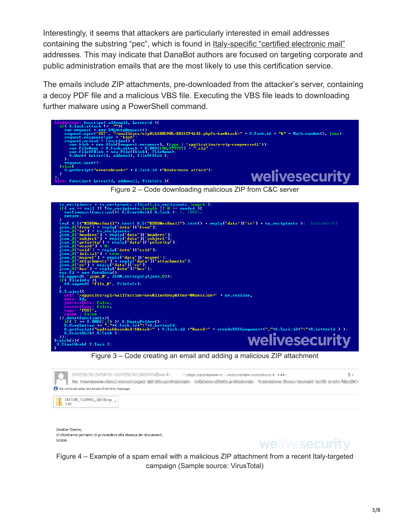Interestingly, it seems that attackers are particularly interested in email addresses containing the substring "pec", which is found in [Italy-specific "certified electronic mail"](http://www.registroimprese.it/en/indirizzo-pec) addresses. This may indicate that DanaBot authors are focused on targeting corporate and public administration emails that are the most likely to use this certification service.

The emails include ZIP attachments, pre-downloaded from the attacker's server, containing a decoy PDF file and a malicious VBS file. Executing the VBS file leads to downloading further malware using a PowerShell command.



Figure 2 – Code downloading malicious ZIP from C&C server



Figure 3 – Code creating an email and adding a malicious ZIP attachment

|                                                 | $\Box$ and $\Box$ and $\Box$ and $\Box$ . The contract $\Box$ and $\Box$ and $\Box$ and $\Box$ and $\Box$ and $\Box$ and $\Box$ and $\Box$ and $\Box$ and $\Box$ and $\Box$ and $\Box$ and $\Box$ and $\Box$ and $\Box$ and $\Box$ and $\Box$ and $\Box$ and $\Box$ and $\Box$<br>del altrapolizazione - indicione dilatti primanoge - l'esperanto del proposto la città degli degli del città<br>Re: trasmissione diameter and depends |  |  |  |  |  |
|-------------------------------------------------|-----------------------------------------------------------------------------------------------------------------------------------------------------------------------------------------------------------------------------------------------------------------------------------------------------------------------------------------------------------------------------------------------------------------------------------------|--|--|--|--|--|
| We removed extra line breaks from this message. |                                                                                                                                                                                                                                                                                                                                                                                                                                         |  |  |  |  |  |
|                                                 |                                                                                                                                                                                                                                                                                                                                                                                                                                         |  |  |  |  |  |
| 5 KB                                            |                                                                                                                                                                                                                                                                                                                                                                                                                                         |  |  |  |  |  |

Gentile Cliente Vi chiediamo pertanto di provvedere alla stampa dei documenti. Grazie.



Figure 4 – Example of a spam email with a malicious ZIP attachment from a recent Italy-targeted campaign (Sample source: VirusTotal)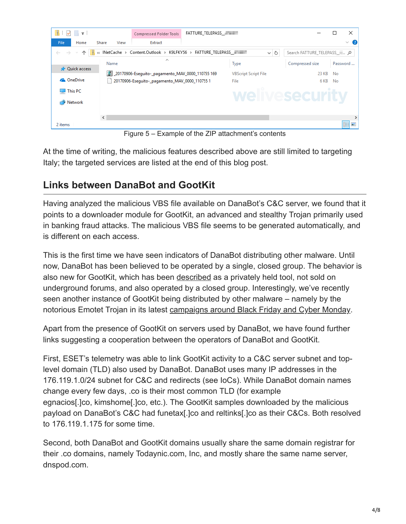

Figure 5 – Example of the ZIP attachment's contents

At the time of writing, the malicious features described above are still limited to targeting Italy; the targeted services are listed at the end of this blog post.

## **Links between DanaBot and GootKit**

Having analyzed the malicious VBS file available on DanaBot's C&C server, we found that it points to a downloader module for GootKit, an advanced and stealthy Trojan primarily used in banking fraud attacks. The malicious VBS file seems to be generated automatically, and is different on each access.

This is the first time we have seen indicators of DanaBot distributing other malware. Until now, DanaBot has been believed to be operated by a single, closed group. The behavior is also new for GootKit, which has been [described](https://securityintelligence.com/gootkit-bobbing-and-weaving-to-avoid-prying-eyes/) as a privately held tool, not sold on underground forums, and also operated by a closed group. Interestingly, we've recently seen another instance of GootKit being distributed by other malware – namely by the notorious Emotet Trojan in its latest [campaigns around Black Friday and Cyber Monday.](https://www.welivesecurity.com/2018/11/23/black-friday-special-emotet-filling-inboxes-infected-xml-macros/)

Apart from the presence of GootKit on servers used by DanaBot, we have found further links suggesting a cooperation between the operators of DanaBot and GootKit.

First, ESET's telemetry was able to link GootKit activity to a C&C server subnet and toplevel domain (TLD) also used by DanaBot. DanaBot uses many IP addresses in the 176.119.1.0/24 subnet for C&C and redirects (see IoCs). While DanaBot domain names change every few days, .co is their most common TLD (for example egnacios[.]co, kimshome[.]co, etc.). The GootKit samples downloaded by the malicious payload on DanaBot's C&C had funetax[.]co and reltinks[.]co as their C&Cs. Both resolved to 176.119.1.175 for some time.

Second, both DanaBot and GootKit domains usually share the same domain registrar for their .co domains, namely Todaynic.com, Inc, and mostly share the same name server, dnspod.com.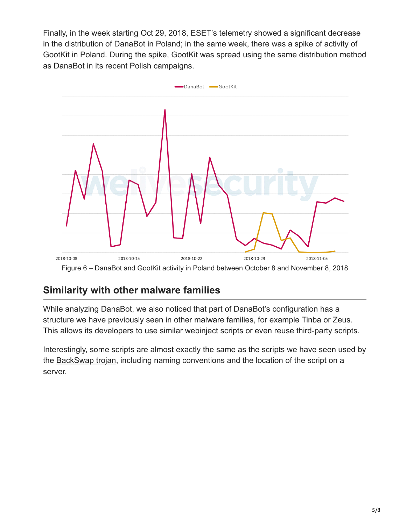Finally, in the week starting Oct 29, 2018, ESET's telemetry showed a significant decrease in the distribution of DanaBot in Poland; in the same week, there was a spike of activity of GootKit in Poland. During the spike, GootKit was spread using the same distribution method as DanaBot in its recent Polish campaigns.



Figure 6 – DanaBot and GootKit activity in Poland between October 8 and November 8, 2018

## **Similarity with other malware families**

While analyzing DanaBot, we also noticed that part of DanaBot's configuration has a structure we have previously seen in other malware families, for example Tinba or Zeus. This allows its developers to use similar webinject scripts or even reuse third-party scripts.

Interestingly, some scripts are almost exactly the same as the scripts we have seen used by the [BackSwap trojan](https://www.welivesecurity.com/2018/05/25/backswap-malware-empty-bank-accounts/), including naming conventions and the location of the script on a server.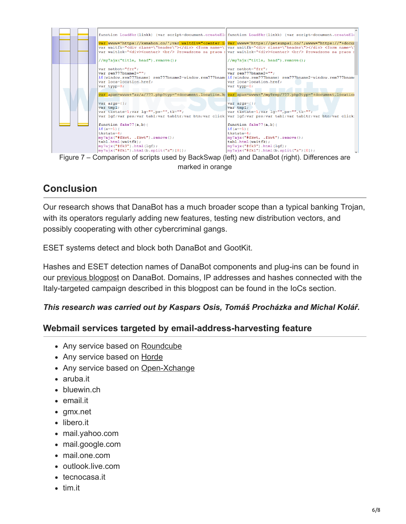

## **Conclusion**

Our research shows that DanaBot has a much broader scope than a typical banking Trojan, with its operators regularly adding new features, testing new distribution vectors, and possibly cooperating with other cybercriminal gangs.

ESET systems detect and block both DanaBot and GootKit.

Hashes and ESET detection names of DanaBot components and plug-ins can be found in our [previous blogpost](https://www.welivesecurity.com/2018/09/21/danabot-targeting-europe-adds-new-features/) on DanaBot. Domains, IP addresses and hashes connected with the Italy-targeted campaign described in this blogpost can be found in the IoCs section.

#### *This research was carried out by Kaspars Osis, Tomáš Procházka and Michal Kolář.*

#### **Webmail services targeted by email-address-harvesting feature**

- Any service based on [Roundcube](https://roundcube.net/)
- Any service based on [Horde](https://www.horde.org/apps/webmail)
- Any service based on [Open-Xchange](https://www.open-xchange.com/)
- aruba.it
- bluewin.ch
- email.it
- gmx.net
- libero.it
- mail.yahoo.com
- mail.google.com
- mail.one.com
- outlook.live.com
- tecnocasa.it
- tim.it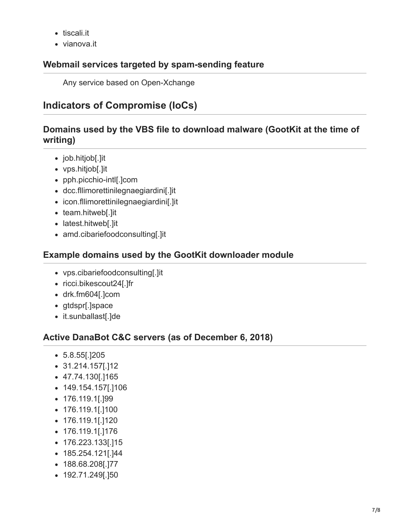- tiscali.it
- vianova.it

### **Webmail services targeted by spam-sending feature**

Any service based on Open-Xchange

## **Indicators of Compromise (IoCs)**

### **Domains used by the VBS file to download malware (GootKit at the time of writing)**

- job.hitjob[.]it
- vps.hitjob[.]it
- pph.picchio-intl[.]com
- dcc.fllimorettinilegnaegiardini[.]it
- icon.fllimorettinilegnaegiardini[.]it
- team.hitweb[.]it
- latest.hitweb[.]it
- amd.cibariefoodconsulting[.]it

### **Example domains used by the GootKit downloader module**

- vps.cibariefoodconsulting[.]it
- ricci.bikescout24[.]fr
- drk.fm604[.]com
- gtdspr[.]space
- it.sunballast[.]de

## **Active DanaBot C&C servers (as of December 6, 2018)**

- 5.8.55[.]205
- 31.214.157[.]12
- 47.74.130[.]165
- 149.154.157[.]106
- 176.119.1[.]99
- 176.119.1[.]100
- 176.119.1[.]120
- 176.119.1[.]176
- 176.223.133[.]15
- 185.254.121[.]44
- 188.68.208[.]77
- 192.71.249[.]50